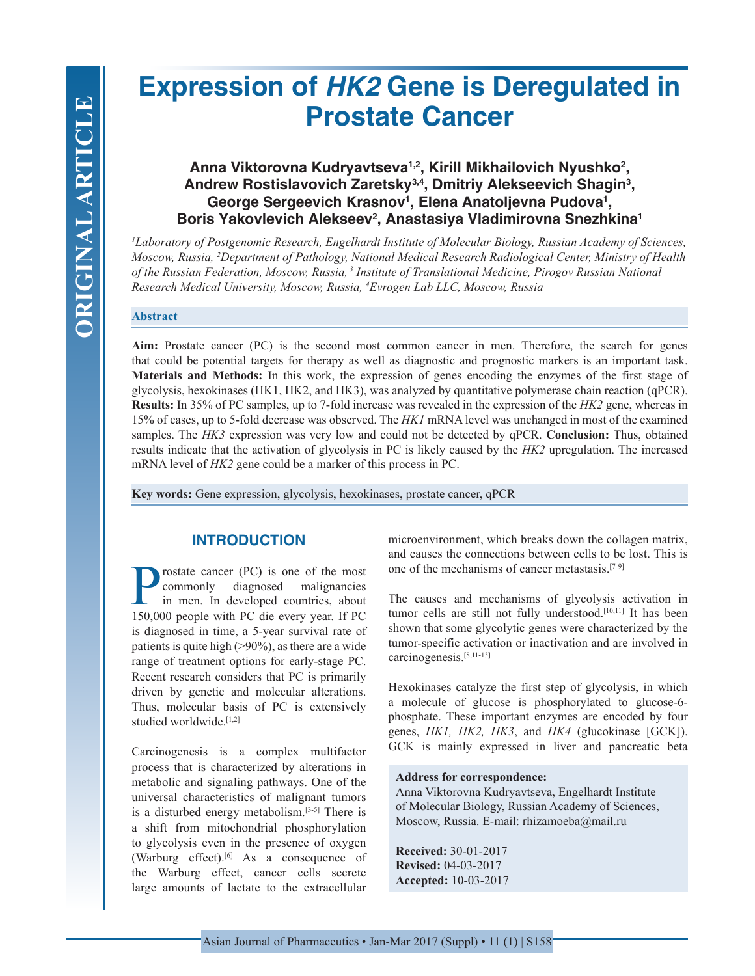# **Expression of** *HK2* **Gene is Deregulated in Prostate Cancer**

## **Anna Viktorovna Kudryavtseva1,2, Kirill Mikhailovich Nyushko2 , Andrew Rostislavovich Zaretsky3,4, Dmitriy Alekseevich Shagin3 , George Sergeevich Krasnov1 , Elena Anatoljevna Pudova1 , Boris Yakovlevich Alekseev2 , Anastasiya Vladimirovna Snezhkina1**

*1 Laboratory of Postgenomic Research, Engelhardt Institute of Molecular Biology, Russian Academy of Sciences, Moscow, Russia, 2 Department of Pathology, National Medical Research Radiological Center, Ministry of Health of the Russian Federation, Moscow, Russia, 3 Institute of Translational Medicine, Pirogov Russian National Research Medical University, Moscow, Russia, 4 Evrogen Lab LLC, Moscow, Russia*

#### **Abstract**

Aim: Prostate cancer (PC) is the second most common cancer in men. Therefore, the search for genes that could be potential targets for therapy as well as diagnostic and prognostic markers is an important task. **Materials and Methods:** In this work, the expression of genes encoding the enzymes of the first stage of glycolysis, hexokinases (HK1, HK2, and HK3), was analyzed by quantitative polymerase chain reaction (qPCR). **Results:** In 35% of PC samples, up to 7-fold increase was revealed in the expression of the *HK2* gene, whereas in 15% of cases, up to 5-fold decrease was observed. The *HK1* mRNA level was unchanged in most of the examined samples. The *HK3* expression was very low and could not be detected by qPCR. **Conclusion:** Thus, obtained results indicate that the activation of glycolysis in PC is likely caused by the *HK2* upregulation. The increased mRNA level of *HK2* gene could be a marker of this process in PC.

**Key words:** Gene expression, glycolysis, hexokinases, prostate cancer, qPCR

## **INTRODUCTION**

rostate cancer (PC) is one of the most<br>commonly diagnosed malignancies diagnosed malignancies in men. In developed countries, about 150,000 people with PC die every year. If PC is diagnosed in time, a 5-year survival rate of patients is quite high (>90%), as there are a wide range of treatment options for early-stage PC. Recent research considers that PC is primarily driven by genetic and molecular alterations. Thus, molecular basis of PC is extensively studied worldwide.<sup>[1,2]</sup>

Carcinogenesis is a complex multifactor process that is characterized by alterations in metabolic and signaling pathways. One of the universal characteristics of malignant tumors is a disturbed energy metabolism.[3-5] There is a shift from mitochondrial phosphorylation to glycolysis even in the presence of oxygen (Warburg effect).[6] As a consequence of the Warburg effect, cancer cells secrete large amounts of lactate to the extracellular

microenvironment, which breaks down the collagen matrix, and causes the connections between cells to be lost. This is one of the mechanisms of cancer metastasis.[7-9]

The causes and mechanisms of glycolysis activation in tumor cells are still not fully understood.<sup>[10,11]</sup> It has been shown that some glycolytic genes were characterized by the tumor-specific activation or inactivation and are involved in carcinogenesis.[8,11-13]

Hexokinases catalyze the first step of glycolysis, in which a molecule of glucose is phosphorylated to glucose-6 phosphate. These important enzymes are encoded by four genes, *HK1, HK2, HK3*, and *HK4* (glucokinase [GCK]). GCK is mainly expressed in liver and pancreatic beta

#### **Address for correspondence:**

Anna Viktorovna Kudryavtseva, Engelhardt Institute of Molecular Biology, Russian Academy of Sciences, Moscow, Russia. E-mail: rhizamoeba@mail.ru

**Received:** 30-01-2017 **Revised:** 04-03-2017 **Accepted:** 10-03-2017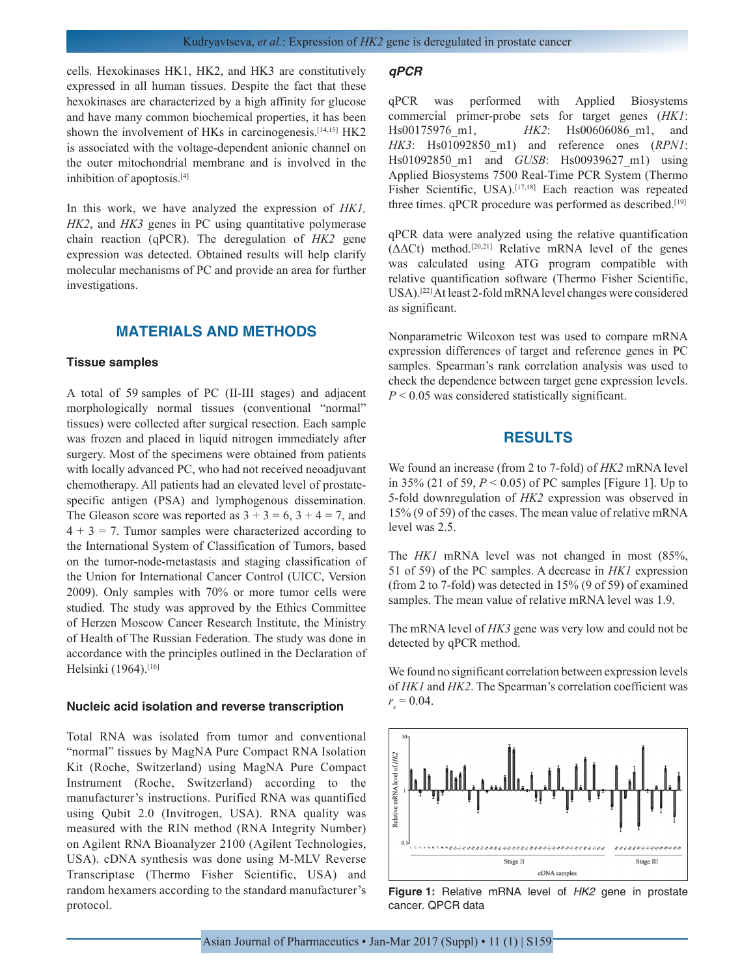cells. Hexokinases HK1, HK2, and HK3 are constitutively expressed in all human tissues. Despite the fact that these hexokinases are characterized by a high affinity for glucose and have many common biochemical properties, it has been shown the involvement of HKs in carcinogenesis.<sup>[14,15]</sup> HK2 is associated with the voltage-dependent anionic channel on the outer mitochondrial membrane and is involved in the inhibition of apoptosis.[4]

In this work, we have analyzed the expression of *HK1, HK2*, and *HK3* genes in PC using quantitative polymerase chain reaction (qPCR). The deregulation of *HK2* gene expression was detected. Obtained results will help clarify molecular mechanisms of PC and provide an area for further investigations.

## **MATERIALS AND METHODS**

#### **Tissue samples**

A total of 59 samples of PC (II-III stages) and adjacent morphologically normal tissues (conventional "normal" tissues) were collected after surgical resection. Each sample was frozen and placed in liquid nitrogen immediately after surgery. Most of the specimens were obtained from patients with locally advanced PC, who had not received neoadjuvant chemotherapy. All patients had an elevated level of prostatespecific antigen (PSA) and lymphogenous dissemination. The Gleason score was reported as  $3 + 3 = 6$ ,  $3 + 4 = 7$ , and  $4 + 3 = 7$ . Tumor samples were characterized according to the International System of Classification of Tumors, based on the tumor-node-metastasis and staging classification of the Union for International Cancer Control (UICC, Version 2009). Only samples with 70% or more tumor cells were studied. The study was approved by the Ethics Committee of Herzen Moscow Cancer Research Institute, the Ministry of Health of The Russian Federation. The study was done in accordance with the principles outlined in the Declaration of Helsinki (1964).<sup>[16]</sup>

#### **Nucleic acid isolation and reverse transcription**

Total RNA was isolated from tumor and conventional "normal" tissues by MagNA Pure Compact RNA Isolation Kit (Roche, Switzerland) using MagNA Pure Compact Instrument (Roche, Switzerland) according to the manufacturer's instructions. Purified RNA was quantified using Qubit 2.0 (Invitrogen, USA). RNA quality was measured with the RIN method (RNA Integrity Number) on Agilent RNA Bioanalyzer 2100 (Agilent Technologies, USA). cDNA synthesis was done using M-MLV Reverse Transcriptase (Thermo Fisher Scientific, USA) and random hexamers according to the standard manufacturer's protocol.

#### *qPCR*

qPCR was performed with Applied Biosystems commercial primer-probe sets for target genes (*HK1*: Hs00175976\_m1, *HK2*: Hs00606086\_m1, and *HK3*: Hs01092850\_m1) and reference ones (*RPN1*: Hs01092850\_m1 and *GUSB*: Hs00939627\_m1) using Applied Biosystems 7500 Real-Time PCR System (Thermo Fisher Scientific, USA).<sup>[17,18]</sup> Each reaction was repeated three times. qPCR procedure was performed as described.<sup>[19]</sup>

qPCR data were analyzed using the relative quantification ( $\Delta \Delta$ Ct) method.<sup>[20,21]</sup> Relative mRNA level of the genes was calculated using ATG program compatible with relative quantification software (Thermo Fisher Scientific, USA).[22] At least 2-fold mRNA level changes were considered as significant.

Nonparametric Wilcoxon test was used to compare mRNA expression differences of target and reference genes in PC samples. Spearman's rank correlation analysis was used to check the dependence between target gene expression levels. *P* < 0.05 was considered statistically significant.

## **RESULTS**

We found an increase (from 2 to 7-fold) of *HK2* mRNA level in 35% (21 of 59,  $P < 0.05$ ) of PC samples [Figure 1]. Up to 5-fold downregulation of *HK2* expression was observed in 15% (9 of 59) of the cases. The mean value of relative mRNA level was 2.5.

The *HK1* mRNA level was not changed in most (85%, 51 of 59) of the PC samples. A decrease in *HK1* expression (from 2 to 7-fold) was detected in 15% (9 of 59) of examined samples. The mean value of relative mRNA level was 1.9.

The mRNA level of *HK3* gene was very low and could not be detected by qPCR method.

We found no significant correlation between expression levels of *HK1* and *HK2*. The Spearman's correlation coefficient was  $r_s = 0.04$ .



**Figure 1:** Relative mRNA level of *HK2* gene in prostate cancer. QPCR data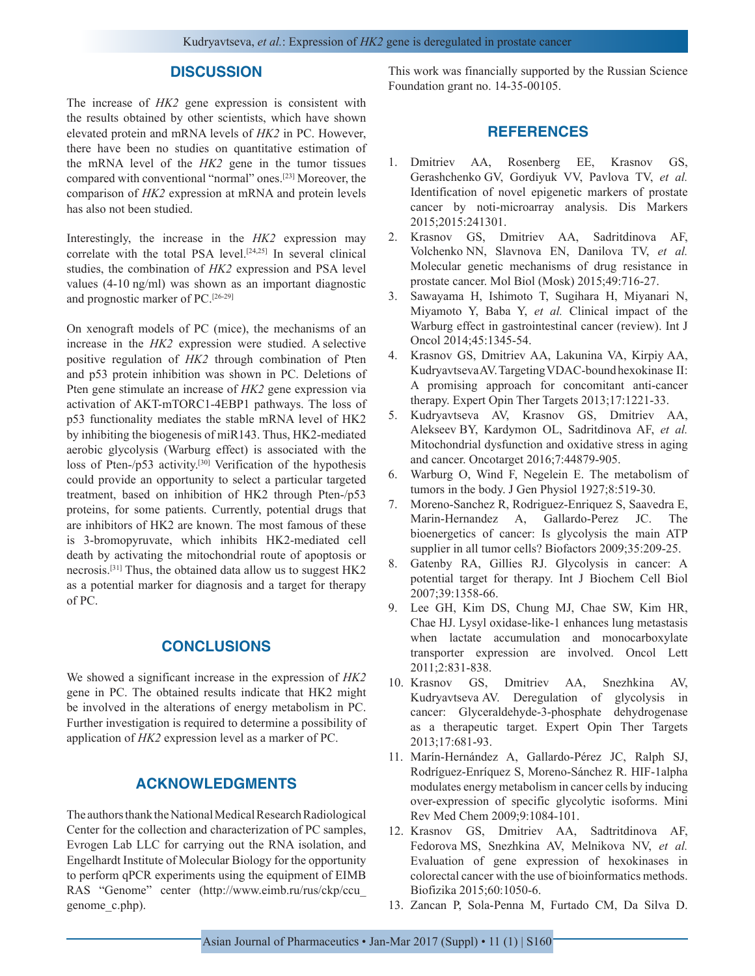## **DISCUSSION**

The increase of *HK2* gene expression is consistent with the results obtained by other scientists, which have shown elevated protein and mRNA levels of *HK2* in PC. However, there have been no studies on quantitative estimation of the mRNA level of the *HK2* gene in the tumor tissues compared with conventional "normal" ones.[23] Moreover, the comparison of *HK2* expression at mRNA and protein levels has also not been studied.

Interestingly, the increase in the *HK2* expression may correlate with the total PSA level.[24,25] In several clinical studies, the combination of *HK2* expression and PSA level values (4-10 ng/ml) was shown as an important diagnostic and prognostic marker of PC.[26-29]

On xenograft models of PC (mice), the mechanisms of an increase in the *HK2* expression were studied. A selective positive regulation of *HK2* through combination of Pten and p53 protein inhibition was shown in PC. Deletions of Pten gene stimulate an increase of *HK2* gene expression via activation of AKT-mTORC1-4EBP1 pathways. The loss of p53 functionality mediates the stable mRNA level of HK2 by inhibiting the biogenesis of miR143. Thus, HK2-mediated aerobic glycolysis (Warburg effect) is associated with the loss of Pten-/p53 activity.<sup>[30]</sup> Verification of the hypothesis could provide an opportunity to select a particular targeted treatment, based on inhibition of HK2 through Pten-/p53 proteins, for some patients. Currently, potential drugs that are inhibitors of HK2 are known. The most famous of these is 3-bromopyruvate, which inhibits HK2-mediated cell death by activating the mitochondrial route of apoptosis or necrosis.[31] Thus, the obtained data allow us to suggest HK2 as a potential marker for diagnosis and a target for therapy of PC.

## **CONCLUSIONS**

We showed a significant increase in the expression of *HK2* gene in PC. The obtained results indicate that HK2 might be involved in the alterations of energy metabolism in PC. Further investigation is required to determine a possibility of application of *HK2* expression level as a marker of PC.

## **ACKNOWLEDGMENTS**

The authors thank the National Medical Research Radiological Center for the collection and characterization of PC samples, Evrogen Lab LLC for carrying out the RNA isolation, and Engelhardt Institute of Molecular Biology for the opportunity to perform qPCR experiments using the equipment of EIMB RAS "Genome" center (http://www.eimb.ru/rus/ckp/ccu\_ genome\_c.php).

This work was financially supported by the Russian Science Foundation grant no. 14-35-00105.

## **REFERENCES**

- 1. Dmitriev AA, Rosenberg EE, Krasnov GS, Gerashchenko GV, Gordiyuk VV, Pavlova TV, *et al.* Identification of novel epigenetic markers of prostate cancer by noti-microarray analysis. Dis Markers 2015;2015:241301.
- 2. Krasnov GS, Dmitriev AA, Sadritdinova AF, Volchenko NN, Slavnova EN, Danilova TV, *et al.* Molecular genetic mechanisms of drug resistance in prostate cancer. Mol Biol (Mosk) 2015;49:716-27.
- 3. Sawayama H, Ishimoto T, Sugihara H, Miyanari N, Miyamoto Y, Baba Y, *et al.* Clinical impact of the Warburg effect in gastrointestinal cancer (review). Int J Oncol 2014;45:1345-54.
- 4. Krasnov GS, Dmitriev AA, Lakunina VA, Kirpiy AA, Kudryavtseva AV. Targeting VDAC-bound hexokinase II: A promising approach for concomitant anti-cancer therapy. Expert Opin Ther Targets 2013;17:1221-33.
- 5. Kudryavtseva AV, Krasnov GS, Dmitriev AA, Alekseev BY, Kardymon OL, Sadritdinova AF, *et al.* Mitochondrial dysfunction and oxidative stress in aging and cancer. Oncotarget 2016;7:44879-905.
- 6. Warburg O, Wind F, Negelein E. The metabolism of tumors in the body. J Gen Physiol 1927;8:519-30.
- 7. Moreno-Sanchez R, Rodriguez-Enriquez S, Saavedra E, Marin-Hernandez A, Gallardo-Perez JC. The bioenergetics of cancer: Is glycolysis the main ATP supplier in all tumor cells? Biofactors 2009;35:209-25.
- 8. Gatenby RA, Gillies RJ. Glycolysis in cancer: A potential target for therapy. Int J Biochem Cell Biol 2007;39:1358-66.
- 9. Lee GH, Kim DS, Chung MJ, Chae SW, Kim HR, Chae HJ. Lysyl oxidase-like-1 enhances lung metastasis when lactate accumulation and monocarboxylate transporter expression are involved. Oncol Lett 2011;2:831-838.
- 10. Krasnov GS, Dmitriev AA, Snezhkina AV, Kudryavtseva AV. Deregulation of glycolysis in cancer: Glyceraldehyde-3-phosphate dehydrogenase as a therapeutic target. Expert Opin Ther Targets 2013;17:681-93.
- 11. Marín-Hernández A, Gallardo-Pérez JC, Ralph SJ, Rodríguez-Enríquez S, Moreno-Sánchez R. HIF-1alpha modulates energy metabolism in cancer cells by inducing over-expression of specific glycolytic isoforms. Mini Rev Med Chem 2009;9:1084-101.
- 12. Krasnov GS, Dmitriev AA, Sadtritdinova AF, Fedorova MS, Snezhkina AV, Melnikova NV, *et al.* Evaluation of gene expression of hexokinases in colorectal cancer with the use of bioinformatics methods. Biofizika 2015;60:1050-6.
- 13. Zancan P, Sola-Penna M, Furtado CM, Da Silva D.